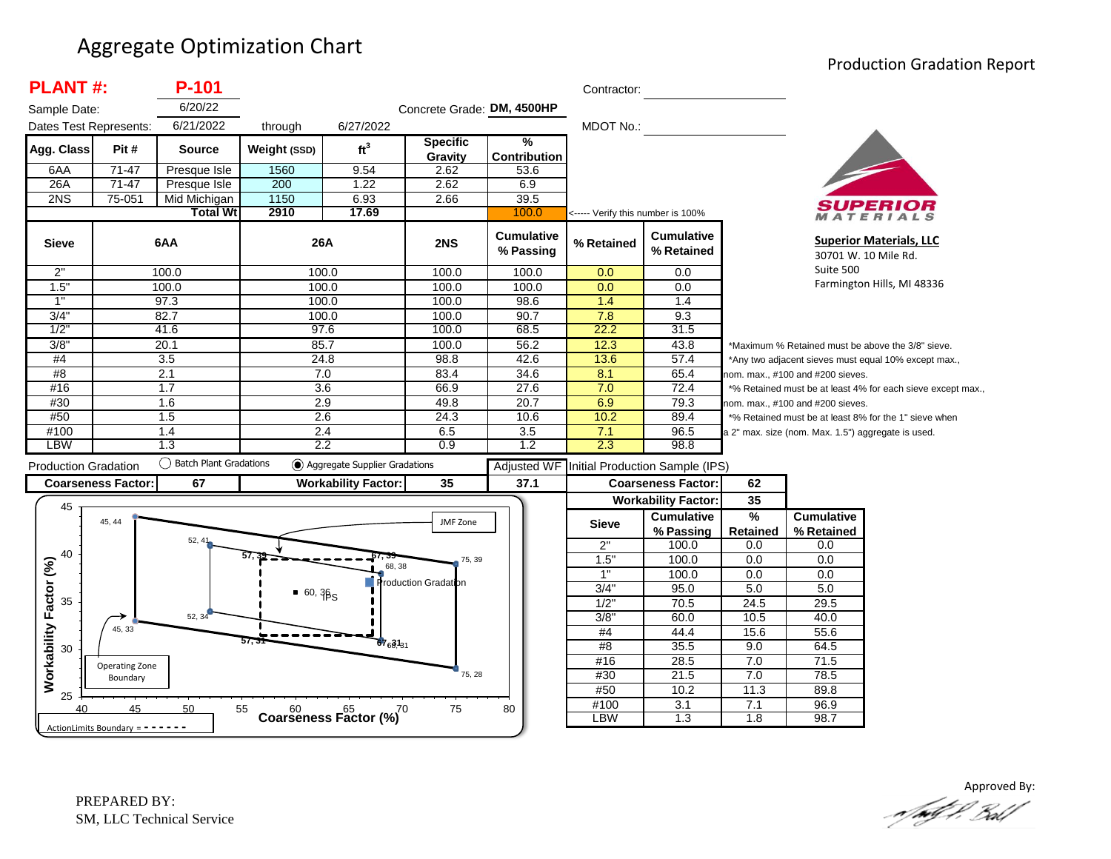#### Aggregate Optimization Chart

#### Production Gradation Report

| <b>PLANT#:</b>              |                            | P-101                     |              |                                              |                            |                                      | Contractor:        |                                                 |                                  |                                                    |                                                             |
|-----------------------------|----------------------------|---------------------------|--------------|----------------------------------------------|----------------------------|--------------------------------------|--------------------|-------------------------------------------------|----------------------------------|----------------------------------------------------|-------------------------------------------------------------|
| Sample Date:                |                            | 6/20/22                   |              |                                              | Concrete Grade: DM, 4500HP |                                      |                    |                                                 |                                  |                                                    |                                                             |
| Dates Test Represents:      |                            | 6/21/2022                 | through      | 6/27/2022                                    |                            |                                      | MDOT No.:          |                                                 |                                  |                                                    |                                                             |
| Agg. Class                  | Pit#                       | <b>Source</b>             | Weight (SSD) | ft <sup>3</sup>                              | <b>Specific</b><br>Gravity | $\frac{9}{6}$<br><b>Contribution</b> |                    |                                                 |                                  |                                                    |                                                             |
| 6AA                         | $71 - 47$                  | Presque Isle              | 1560         | 9.54                                         | 2.62                       | 53.6                                 |                    |                                                 |                                  |                                                    |                                                             |
| 26A                         | $71 - 47$                  | Presque Isle              | 200          | 1.22                                         | 2.62                       | 6.9                                  |                    |                                                 |                                  |                                                    |                                                             |
| 2NS                         | 75-051                     | Mid Michigan              | 1150         | 6.93                                         | 2.66                       | 39.5                                 |                    |                                                 |                                  |                                                    |                                                             |
|                             |                            | <b>Total Wt</b>           | 2910         | 17.69                                        |                            | 100.0                                |                    | <----- Verify this number is 100%               |                                  |                                                    | ATERIALS                                                    |
| <b>Sieve</b>                |                            | 6AA                       | 26A          |                                              | 2NS                        | <b>Cumulative</b><br>% Passing       | % Retained         | <b>Cumulative</b><br>% Retained                 |                                  | 30701 W. 10 Mile Rd.                               | <b>Superior Materials, LLC</b>                              |
| 2"                          |                            | 100.0                     | 100.0        |                                              | 100.0                      | 100.0                                | 0.0                | 0.0                                             |                                  | Suite 500                                          |                                                             |
| 1.5"                        |                            | 100.0                     | 100.0        |                                              | 100.0                      | 100.0                                | 0.0                | 0.0                                             |                                  |                                                    | Farmington Hills, MI 48336                                  |
| 1"                          |                            | 97.3                      | 100.0        |                                              | 100.0                      | 98.6                                 | 1.4                | 1.4                                             |                                  |                                                    |                                                             |
| 3/4"                        |                            | 82.7                      | 100.0        |                                              | 100.0                      | 90.7                                 | 7.8                | 9.3                                             |                                  |                                                    |                                                             |
| 1/2                         |                            | 41.6                      | 97.6         |                                              | 100.0                      | 68.5                                 | 22.2               | 31.5                                            |                                  |                                                    |                                                             |
| 3/8"                        |                            | 20.1                      | 85.7         |                                              | 100.0                      | 56.2                                 | 12.3               | 43.8                                            |                                  |                                                    | *Maximum % Retained must be above the 3/8" sieve.           |
| #4                          |                            | 3.5                       | 24.8         |                                              | 98.8                       | 42.6                                 | 13.6               | 57.4                                            |                                  |                                                    | *Any two adjacent sieves must equal 10% except max.,        |
| #8                          |                            | $\overline{2.1}$          | 7.0          |                                              | 83.4                       | 34.6                                 | 8.1                | 65.4                                            |                                  | nom. max., #100 and #200 sieves.                   |                                                             |
| #16                         |                            | 1.7                       | 3.6          |                                              | 66.9                       | 27.6                                 | 7.0                | 72.4                                            |                                  |                                                    | *% Retained must be at least 4% for each sieve except max., |
| #30                         |                            | 1.6                       | 2.9          |                                              | 49.8                       | 20.7                                 | 6.9                | 79.3                                            | nom. max., #100 and #200 sieves. |                                                    |                                                             |
| #50                         |                            | 1.5                       | 2.6          |                                              | 24.3                       | 10.6                                 | 10.2               | 89.4                                            |                                  |                                                    | *% Retained must be at least 8% for the 1" sieve when       |
| #100                        |                            | 1.4                       | 2.4          |                                              | 6.5                        | 3.5                                  | 7.1                | 96.5                                            |                                  | a 2" max. size (nom. Max. 1.5") aggregate is used. |                                                             |
| <b>LBW</b>                  |                            | 1.3                       | 2.2          |                                              | 0.9                        | 1.2                                  | 2.3                | 98.8                                            |                                  |                                                    |                                                             |
| <b>Production Gradation</b> |                            | () Batch Plant Gradations |              | Aggregate Supplier Gradations                |                            | <b>Adjusted WF</b>                   |                    | Initial Production Sample (IPS)                 |                                  |                                                    |                                                             |
| <b>Coarseness Factor:</b>   |                            |                           |              |                                              |                            |                                      |                    |                                                 |                                  |                                                    |                                                             |
|                             |                            | 67                        |              |                                              |                            |                                      |                    |                                                 | 62                               |                                                    |                                                             |
|                             |                            |                           |              | <b>Workability Factor:</b>                   | 35                         | 37.1                                 |                    | <b>Coarseness Factor:</b>                       |                                  |                                                    |                                                             |
| 45                          | 45, 44                     |                           |              |                                              | JMF Zone                   |                                      | <b>Sieve</b>       | <b>Workability Factor:</b><br><b>Cumulative</b> | 35<br>$\frac{9}{6}$              | <b>Cumulative</b>                                  |                                                             |
|                             |                            | 52, 41                    |              |                                              |                            |                                      |                    | % Passing                                       | <b>Retained</b>                  | % Retained                                         |                                                             |
| 40                          |                            |                           |              |                                              | 75, 39                     |                                      | 2"                 | 100.0                                           | 0.0                              | 0.0                                                |                                                             |
|                             |                            |                           |              | 68, 38                                       |                            |                                      | 1.5"<br>1"         | 100.0                                           | 0.0                              | $\overline{0.0}$                                   |                                                             |
|                             |                            |                           |              |                                              | roduction Gradation        |                                      |                    | 100.0                                           | 0.0                              | 0.0                                                |                                                             |
| 35                          |                            |                           | $-60,385$    |                                              |                            |                                      | 3/4"               | 95.0                                            | 5.0                              | 5.0                                                |                                                             |
|                             |                            | 52, 34                    |              |                                              |                            |                                      | 1/2"               | 70.5<br>60.0                                    | 24.5                             | 29.5<br>40.0                                       |                                                             |
|                             | 45, 33                     |                           |              |                                              |                            |                                      | 3/8"<br>#4         | 44.4                                            | 10.5<br>15.6                     | 55.6                                               |                                                             |
| 30                          |                            |                           | 57. .        | $67_{6}31_{31}$                              |                            |                                      | #8                 | 35.5                                            | 9.0                              | 64.5                                               |                                                             |
|                             |                            |                           |              |                                              |                            |                                      | #16                | 28.5                                            | 7.0                              | 71.5                                               |                                                             |
|                             | Operating Zone<br>Boundary |                           |              |                                              | 75, 28                     |                                      | #30                | 21.5                                            | 7.0                              | 78.5                                               |                                                             |
| Workability Factor (%)      |                            |                           |              |                                              |                            |                                      | #50                | 10.2                                            | 11.3                             | 89.8                                               |                                                             |
| 25<br>40                    | 45                         | 50                        | 55           | $60$ $65$ $65$ $70$<br>Coarseness Factor (%) | 75                         | 80                                   | #100<br><b>LBW</b> | 3.1<br>$\overline{1.3}$                         | 7.1<br>1.8                       | 96.9<br>98.7                                       |                                                             |

Approved By:<br>Approved By: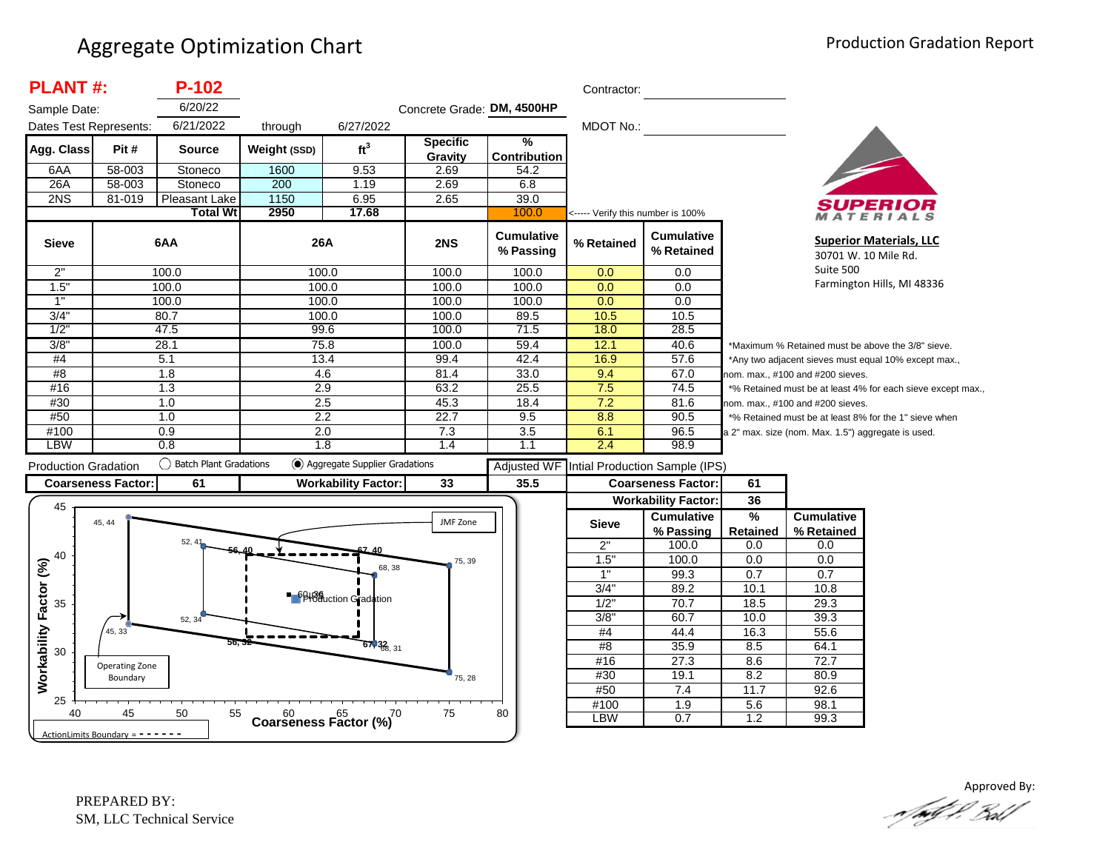| <b>PLANT#:</b>              |                           | $P-102$                   |                                            |                               |                            |                                | Contractor:                       |                                 |                                                             |                                                    |                                                       |
|-----------------------------|---------------------------|---------------------------|--------------------------------------------|-------------------------------|----------------------------|--------------------------------|-----------------------------------|---------------------------------|-------------------------------------------------------------|----------------------------------------------------|-------------------------------------------------------|
| Sample Date:                |                           | 6/20/22                   |                                            |                               | Concrete Grade: DM, 4500HP |                                |                                   |                                 |                                                             |                                                    |                                                       |
| Dates Test Represents:      |                           | 6/21/2022                 | through                                    | 6/27/2022                     |                            |                                | MDOT No.:                         |                                 |                                                             |                                                    |                                                       |
| Agg. Class                  | Pit#                      | <b>Source</b>             | Weight (SSD)                               | ft <sup>3</sup>               | <b>Specific</b><br>Gravity | $\frac{9}{6}$<br>Contribution  |                                   |                                 |                                                             |                                                    |                                                       |
| 6AA                         | 58-003                    | Stoneco                   | 1600                                       | 9.53                          | 2.69                       | 54.2                           |                                   |                                 |                                                             |                                                    |                                                       |
| 26A                         | 58-003                    | Stoneco                   | 200                                        | 1.19                          | 2.69                       | 6.8                            |                                   |                                 |                                                             |                                                    |                                                       |
| 2NS                         | 81-019                    | Pleasant Lake             | 1150                                       | 6.95                          | 2.65                       | 39.0                           |                                   |                                 |                                                             |                                                    |                                                       |
|                             |                           | <b>Total Wt</b>           | 2950                                       | 17.68                         |                            | 100.0                          | <----- Verify this number is 100% |                                 |                                                             |                                                    | ATERIALS                                              |
| <b>Sieve</b>                |                           | 6AA                       | 26A                                        |                               | 2NS                        | <b>Cumulative</b><br>% Passing | % Retained                        | <b>Cumulative</b><br>% Retained |                                                             | 30701 W. 10 Mile Rd.                               | <b>Superior Materials, LLC</b>                        |
| 2"                          |                           | 100.0                     | 100.0                                      |                               | 100.0                      | 100.0                          | 0.0                               | 0.0                             |                                                             | Suite 500                                          |                                                       |
| 1.5"                        |                           | 100.0                     | 100.0                                      |                               | 100.0                      | 100.0                          | 0.0                               | 0.0                             |                                                             |                                                    | Farmington Hills, MI 48336                            |
| 1"                          |                           | 100.0                     | 100.0                                      |                               | 100.0                      | 100.0                          | 0.0                               | 0.0                             |                                                             |                                                    |                                                       |
| 3/4"                        |                           | 80.7                      | 100.0                                      |                               | 100.0                      | 89.5                           | 10.5                              | 10.5                            |                                                             |                                                    |                                                       |
| 1/2                         |                           | 47.5                      | 99.6                                       |                               | 100.0                      | 71.5                           | 18.0                              | 28.5                            |                                                             |                                                    |                                                       |
| 3/8                         |                           | 28.1                      | 75.8                                       |                               | 100.0                      | 59.4                           | 12.1                              | 40.6                            |                                                             |                                                    | *Maximum % Retained must be above the 3/8" sieve.     |
| #4                          |                           | 5.1                       | 13.4                                       |                               | 99.4                       | 42.4                           | 16.9                              | 57.6                            |                                                             |                                                    | *Any two adjacent sieves must equal 10% except max.,  |
| #8                          |                           | 1.8                       | 4.6                                        |                               | 81.4                       | 33.0                           | 9.4                               | 67.0                            |                                                             | nom. max., #100 and #200 sieves.                   |                                                       |
| #16                         |                           | 1.3                       | 2.9                                        |                               | 63.2                       | 25.5                           | 7.5                               | 74.5                            | *% Retained must be at least 4% for each sieve except max., |                                                    |                                                       |
| #30                         |                           | 1.0                       | 2.5                                        |                               | 45.3                       | 18.4                           | 7.2                               | 81.6                            | nom. max., #100 and #200 sieves.                            |                                                    |                                                       |
| #50                         |                           | 1.0                       | 2.2                                        |                               | 22.7                       | 9.5                            | 8.8                               | 90.5                            |                                                             |                                                    | *% Retained must be at least 8% for the 1" sieve when |
| #100                        |                           | 0.9                       | 2.0                                        |                               | 7.3                        | 3.5                            | 6.1                               | 96.5                            |                                                             | a 2" max. size (nom. Max. 1.5") aggregate is used. |                                                       |
| <b>LBW</b>                  |                           | 0.8                       | 1.8                                        |                               | 1.4                        | 1.1                            | 2.4                               | 98.9                            |                                                             |                                                    |                                                       |
| <b>Production Gradation</b> |                           | () Batch Plant Gradations |                                            | Aggregate Supplier Gradations |                            | <b>Adjusted WF</b>             |                                   | Intial Production Sample (IPS)  |                                                             |                                                    |                                                       |
|                             | <b>Coarseness Factor:</b> | 61                        |                                            | <b>Workability Factor:</b>    | 33                         | 35.5                           |                                   | <b>Coarseness Factor:</b>       | 61                                                          |                                                    |                                                       |
|                             |                           |                           |                                            |                               |                            |                                |                                   | <b>Workability Factor:</b>      | 36                                                          |                                                    |                                                       |
| 45                          | 45, 44                    |                           |                                            |                               | <b>JMF Zone</b>            |                                | <b>Sieve</b>                      | <b>Cumulative</b>               | %                                                           | <b>Cumulative</b>                                  |                                                       |
|                             |                           |                           |                                            |                               |                            |                                |                                   | % Passing                       | <b>Retained</b>                                             | % Retained                                         |                                                       |
| 40                          |                           | 52.41                     |                                            |                               |                            |                                | 2"                                | 100.0                           | 0.0                                                         | 0.0                                                |                                                       |
|                             |                           |                           |                                            |                               | 75, 39                     |                                | 1.5"                              | 100.0                           | 0.0                                                         | 0.0                                                |                                                       |
|                             |                           |                           |                                            | 68, 38                        |                            |                                | 1"                                | 99.3                            | 0.7                                                         | 0.7                                                |                                                       |
|                             |                           |                           |                                            |                               |                            |                                | 3/4"                              | 89.2                            | 10.1                                                        | 10.8                                               |                                                       |
| 35                          |                           |                           |                                            | <b>B</b> Beuction Gradation   |                            |                                | 1/2                               | 70.7                            | 18.5                                                        | 29.3                                               |                                                       |
|                             |                           | 52, 34                    |                                            |                               |                            |                                | 3/8                               | 60.7                            | 10.0                                                        | 39.3                                               |                                                       |
|                             | 45, 33                    |                           |                                            |                               |                            |                                | #4                                | 44.4                            | 16.3                                                        | 55.6                                               |                                                       |
| 30                          |                           | 56. 32                    |                                            | $67,38$ <sub>8, 31</sub>      |                            |                                | #8                                | 35.9                            | 8.5                                                         | 64.1                                               |                                                       |
|                             | Operating Zone            |                           |                                            |                               |                            |                                | #16                               | 27.3                            | 8.6                                                         | 72.7                                               |                                                       |
|                             | Boundary                  |                           |                                            |                               | 75, 28                     |                                | #30                               | 19.1                            | 8.2                                                         | 80.9                                               |                                                       |
| Workability Factor (%)      |                           |                           |                                            |                               |                            |                                | #50                               | 7.4                             | 11.7                                                        | 92.6                                               |                                                       |
| 25<br>40                    | 45                        | 50<br>55                  | $60$ $65$ $(%)$<br>Coarseness Factor $(%)$ |                               | 75                         | 80                             | #100<br>LBW                       | $\overline{1.9}$<br>0.7         | 5.6<br>1.2                                                  | 98.1<br>99.3                                       |                                                       |

Approved By: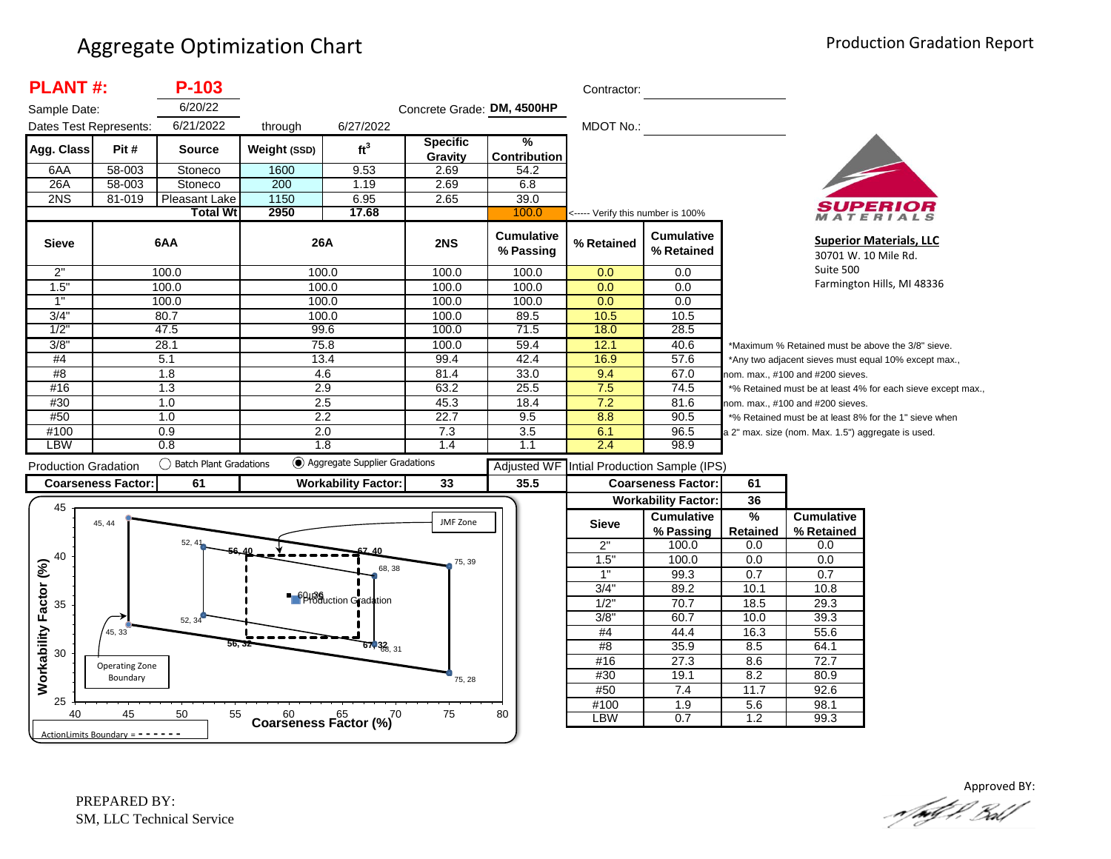| <b>PLANT#:</b>               |                                     | P-103                     |              |                                                      |                            |                                      | Contractor:                       |                                 |                                                      |                                                    |                                                             |
|------------------------------|-------------------------------------|---------------------------|--------------|------------------------------------------------------|----------------------------|--------------------------------------|-----------------------------------|---------------------------------|------------------------------------------------------|----------------------------------------------------|-------------------------------------------------------------|
| Sample Date:                 |                                     | 6/20/22                   |              |                                                      | Concrete Grade: DM, 4500HP |                                      |                                   |                                 |                                                      |                                                    |                                                             |
| Dates Test Represents:       |                                     | 6/21/2022                 | through      | 6/27/2022                                            |                            |                                      | MDOT No.:                         |                                 |                                                      |                                                    |                                                             |
| Agg. Class                   | Pit#                                | <b>Source</b>             | Weight (SSD) | ft <sup>3</sup>                                      | <b>Specific</b><br>Gravity | $\frac{9}{6}$<br><b>Contribution</b> |                                   |                                 |                                                      |                                                    |                                                             |
| 6AA                          | 58-003                              | Stoneco                   | 1600         | 9.53                                                 | 2.69                       | 54.2                                 |                                   |                                 |                                                      |                                                    |                                                             |
| 26A                          | 58-003                              | Stoneco                   | 200          | 1.19                                                 | 2.69                       | 6.8                                  |                                   |                                 |                                                      |                                                    |                                                             |
| 2NS                          | 81-019                              | Pleasant Lake             | 1150         | 6.95                                                 | 2.65                       | 39.0                                 |                                   |                                 |                                                      |                                                    |                                                             |
|                              |                                     | <b>Total Wt</b>           | 2950         | 17.68                                                |                            | 100.0                                | <----- Verify this number is 100% |                                 |                                                      |                                                    | MATERIALS                                                   |
| <b>Sieve</b>                 |                                     | 6AA                       | 26A          |                                                      | 2NS                        | <b>Cumulative</b><br>% Passing       | % Retained                        | <b>Cumulative</b><br>% Retained |                                                      |                                                    | <b>Superior Materials, LLC</b><br>30701 W. 10 Mile Rd.      |
| 2"                           |                                     | 100.0                     |              | 100.0                                                | 100.0                      | 100.0                                | 0.0                               | 0.0                             |                                                      | Suite 500                                          |                                                             |
| 1.5"                         |                                     | 100.0                     | 100.0        |                                                      | 100.0                      | 100.0                                | 0.0                               | 0.0                             |                                                      |                                                    | Farmington Hills, MI 48336                                  |
| 1"                           |                                     | 100.0                     | 100.0        |                                                      | 100.0                      | 100.0                                | 0.0                               | 0.0                             |                                                      |                                                    |                                                             |
| 3/4"                         |                                     | 80.7                      | 100.0        |                                                      | 100.0                      | 89.5                                 | 10.5                              | 10.5                            |                                                      |                                                    |                                                             |
| 1/2                          |                                     | 47.5                      | 99.6         |                                                      | 100.0                      | 71.5                                 | 18.0                              | 28.5                            |                                                      |                                                    |                                                             |
| 3/8"                         |                                     | 28.1                      | 75.8         |                                                      | 100.0                      | 59.4                                 | 12.1                              | 40.6                            |                                                      | *Maximum % Retained must be above the 3/8" sieve.  |                                                             |
| #4                           | 5.1                                 |                           |              | 13.4                                                 | 99.4                       | 42.4                                 | 16.9                              | 57.6                            | *Any two adjacent sieves must equal 10% except max., |                                                    |                                                             |
| #8                           |                                     | $\overline{1.8}$          | 4.6          |                                                      | 81.4                       | 33.0                                 | 9.4                               | 67.0                            | nom. max., #100 and #200 sieves.                     |                                                    |                                                             |
| #16                          |                                     | 1.3                       | 2.9          |                                                      | 63.2                       | 25.5                                 | 7.5                               | 74.5                            |                                                      |                                                    | *% Retained must be at least 4% for each sieve except max., |
| #30                          |                                     | 1.0                       | 2.5          |                                                      | 45.3                       | 18.4                                 | 7.2                               | 81.6                            |                                                      | nom. max., #100 and #200 sieves.                   |                                                             |
| #50                          |                                     | 1.0                       |              | 2.2                                                  | 22.7                       | 9.5                                  | 8.8                               | 90.5                            |                                                      |                                                    | *% Retained must be at least 8% for the 1" sieve when       |
| #100                         |                                     | 0.9                       | 2.0          |                                                      | 7.3                        | 3.5                                  | 6.1                               | 96.5                            |                                                      | a 2" max. size (nom. Max. 1.5") aggregate is used. |                                                             |
| <b>LBW</b>                   |                                     | 0.8                       |              | 1.8                                                  | 1.4                        | 1.1                                  | 2.4                               | 98.9                            |                                                      |                                                    |                                                             |
| <b>Production Gradation</b>  |                                     | () Batch Plant Gradations |              | Aggregate Supplier Gradations                        |                            | <b>Adjusted WF</b>                   |                                   | Intial Production Sample (IPS)  |                                                      |                                                    |                                                             |
|                              | <b>Coarseness Factor:</b>           | 61                        |              | <b>Workability Factor:</b>                           | 33                         | 35.5                                 |                                   | <b>Coarseness Factor:</b>       | 61                                                   |                                                    |                                                             |
|                              |                                     |                           |              |                                                      |                            |                                      |                                   | <b>Workability Factor:</b>      | 36                                                   |                                                    |                                                             |
| 45                           |                                     |                           |              |                                                      |                            |                                      |                                   | <b>Cumulative</b>               | $\frac{9}{6}$                                        | <b>Cumulative</b>                                  |                                                             |
|                              | 45, 44                              |                           |              |                                                      | JMF Zone                   |                                      | <b>Sieve</b>                      | % Passing                       | Retained                                             | % Retained                                         |                                                             |
|                              |                                     | 52.41                     |              |                                                      |                            |                                      | 2"                                | 100.0                           | 0.0                                                  | 0.0                                                |                                                             |
| 40                           |                                     |                           |              |                                                      | 75, 39                     |                                      | 1.5"                              | 100.0                           | 0.0                                                  | 0.0                                                |                                                             |
|                              |                                     |                           |              | 68, 38                                               |                            |                                      | 1"                                | 99.3                            | 0.7                                                  | 0.7                                                |                                                             |
|                              |                                     |                           |              |                                                      |                            |                                      | 3/4"                              | 89.2                            | 10.1                                                 | 10.8                                               |                                                             |
| 35                           |                                     |                           |              | <b>6</b> <sup>6</sup> Bloction Gradation             |                            |                                      | 1/2"                              | 70.7                            | 18.5                                                 | 29.3                                               |                                                             |
|                              |                                     | 52, 34                    |              |                                                      |                            |                                      | 3/8"                              | 60.7                            | 10.0                                                 | 39.3                                               |                                                             |
|                              | 45, 33                              |                           |              |                                                      |                            |                                      | #4                                | 44.4                            | 16.3                                                 | 55.6                                               |                                                             |
| Workability Factor (%)<br>30 |                                     |                           |              | $67,32$ <sub>6, 31</sub>                             |                            |                                      | #8                                | 35.9                            | 8.5                                                  | 64.1                                               |                                                             |
|                              | Operating Zone                      |                           |              |                                                      |                            |                                      | #16                               | 27.3                            | 8.6                                                  | 72.7                                               |                                                             |
|                              | Boundary                            |                           |              |                                                      | 75, 28                     |                                      | #30                               | 19.1                            | 8.2                                                  | 80.9                                               |                                                             |
|                              |                                     |                           |              |                                                      |                            |                                      | #50                               | 7.4                             | 11.7                                                 | 92.6                                               |                                                             |
| 25<br>40                     | 45                                  | 50<br>55                  |              |                                                      | 75                         | 80                                   | #100                              | $\overline{1.9}$                | 5.6                                                  | 98.1                                               |                                                             |
|                              |                                     |                           |              | $60$ $65$ $(%)^7$<br>Coarseness Factor $(%)^7$<br>70 |                            |                                      | LBW                               | 0.7                             | 1.2                                                  | 99.3                                               |                                                             |
|                              | ActionLimits Boundary = $- - - - -$ |                           |              |                                                      |                            |                                      |                                   |                                 |                                                      |                                                    |                                                             |

Approved BY:<br>And P. Ball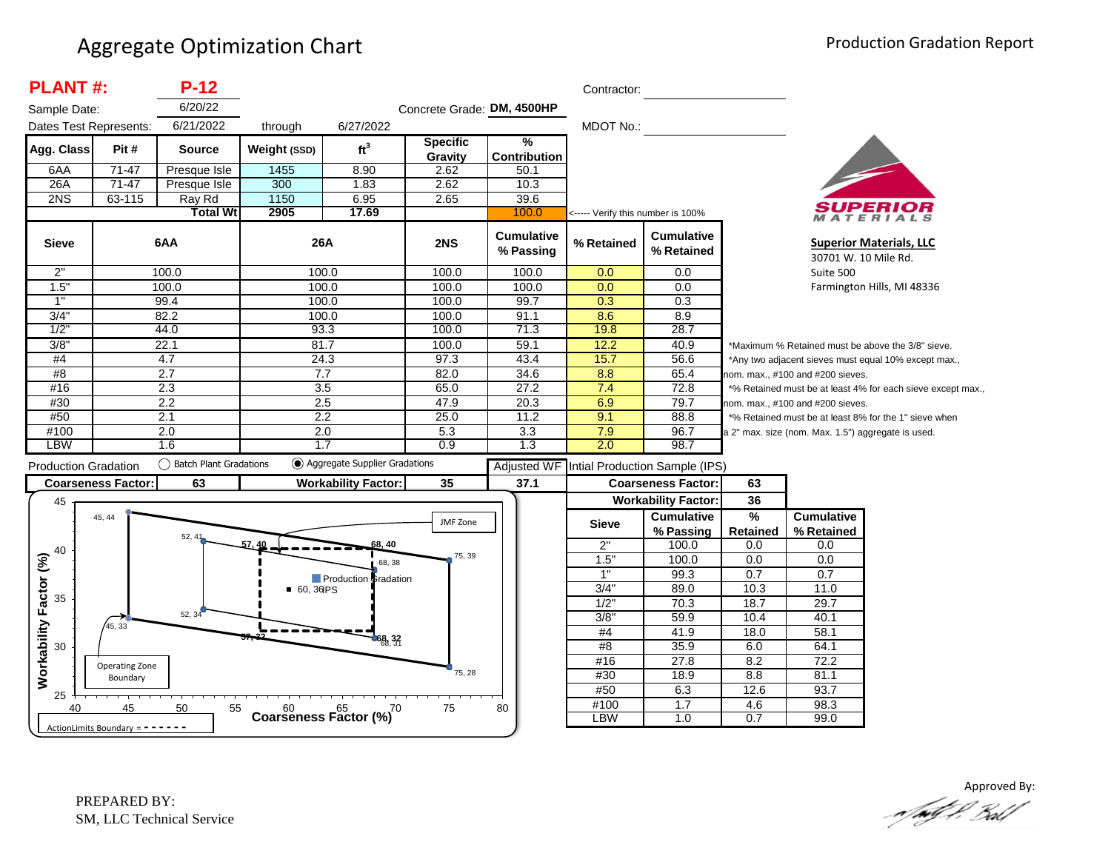| <b>PLANT#:</b>              |                                     | $P-12$                    |                  |                                        |                            |                                | Contractor:                       |                                 |                                                             |                                                      |                                                       |
|-----------------------------|-------------------------------------|---------------------------|------------------|----------------------------------------|----------------------------|--------------------------------|-----------------------------------|---------------------------------|-------------------------------------------------------------|------------------------------------------------------|-------------------------------------------------------|
| Sample Date:                |                                     | 6/20/22                   |                  |                                        | Concrete Grade: DM, 4500HP |                                |                                   |                                 |                                                             |                                                      |                                                       |
| Dates Test Represents:      |                                     | 6/21/2022                 | through          | 6/27/2022                              |                            |                                | <b>MDOT No.:</b>                  |                                 |                                                             |                                                      |                                                       |
| Agg. Class                  | Pit#                                | <b>Source</b>             | Weight (SSD)     | ft <sup>3</sup>                        | <b>Specific</b><br>Gravity | $\frac{9}{6}$<br>Contribution  |                                   |                                 |                                                             |                                                      |                                                       |
| 6AA                         | $71 - 47$                           | Presque Isle              | 1455             | 8.90                                   | 2.62                       | 50.1                           |                                   |                                 |                                                             |                                                      |                                                       |
| 26A                         | $71-47$                             | Presque Isle              | 300              | 1.83                                   | 2.62                       | 10.3                           |                                   |                                 |                                                             |                                                      |                                                       |
| 2NS                         | 63-115                              | Ray Rd                    | 1150             | 6.95                                   | 2.65                       | 39.6                           |                                   |                                 |                                                             |                                                      |                                                       |
|                             |                                     | <b>Total Wt</b>           | 2905             | 17.69                                  |                            | 100.0                          | <----- Verify this number is 100% |                                 |                                                             |                                                      | MATERIALS                                             |
| <b>Sieve</b>                |                                     | 6AA                       | 26A              |                                        | 2NS                        | <b>Cumulative</b><br>% Passing | % Retained                        | <b>Cumulative</b><br>% Retained |                                                             | 30701 W. 10 Mile Rd.                                 | <b>Superior Materials, LLC</b>                        |
| 2"                          |                                     | 100.0                     |                  | 100.0                                  | 100.0                      | 100.0                          | 0.0                               | 0.0                             |                                                             | Suite 500                                            |                                                       |
| 1.5"                        |                                     | 100.0                     |                  | 100.0                                  | 100.0                      | 100.0                          | 0.0                               | 0.0                             |                                                             |                                                      | Farmington Hills, MI 48336                            |
| $\overline{1}$              |                                     | 99.4                      |                  | 100.0                                  | 100.0                      | 99.7                           | 0.3                               | 0.3                             |                                                             |                                                      |                                                       |
| 3/4"                        |                                     | 82.2                      |                  | 100.0                                  | 100.0                      | 91.1                           | 8.6                               | 8.9                             |                                                             |                                                      |                                                       |
| 1/2                         |                                     | 44.0                      |                  | 93.3                                   | 100.0                      | 71.3                           | 19.8                              | 28.7                            |                                                             |                                                      |                                                       |
| 3/8"                        |                                     | 22.1                      | 81.7             |                                        | 100.0                      | 59.1                           | 12.2                              | 40.9                            |                                                             |                                                      | *Maximum % Retained must be above the 3/8" sieve.     |
| #4                          |                                     | 4.7                       |                  | 24.3                                   | 97.3                       | 43.4                           | 15.7                              | 56.6                            |                                                             | *Any two adjacent sieves must equal 10% except max., |                                                       |
| #8                          |                                     | 2.7                       | 7.7              |                                        | 82.0                       | 34.6                           | 8.8                               | 65.4                            | nom. max., #100 and #200 sieves.                            |                                                      |                                                       |
| #16                         |                                     | 2.3                       | $\overline{3.5}$ |                                        | 65.0                       | 27.2                           | 7.4                               | 72.8                            | *% Retained must be at least 4% for each sieve except max., |                                                      |                                                       |
| #30                         |                                     | 2.2                       | 2.5              |                                        | 47.9                       | 20.3                           | 6.9                               | 79.7                            |                                                             | nom. max., #100 and #200 sieves.                     |                                                       |
| #50                         |                                     | 2.1                       |                  | 2.2                                    | 25.0                       | 11.2                           | 9.1                               | 88.8                            |                                                             |                                                      | *% Retained must be at least 8% for the 1" sieve when |
| #100<br><b>LBW</b>          |                                     | 2.0                       |                  | 2.0                                    | 5.3<br>0.9                 | 3.3                            | 7.9                               | 96.7<br>98.7                    |                                                             | a 2" max. size (nom. Max. 1.5") aggregate is used.   |                                                       |
|                             |                                     | 1.6                       |                  | 1.7<br>◯ Aggregate Supplier Gradations |                            | 1.3                            | 2.0                               |                                 |                                                             |                                                      |                                                       |
| <b>Production Gradation</b> |                                     | () Batch Plant Gradations |                  |                                        |                            | <b>Adjusted WF</b>             |                                   | Intial Production Sample (IPS)  |                                                             |                                                      |                                                       |
|                             | <b>Coarseness Factor:</b>           | 63                        |                  | <b>Workability Factor:</b>             | 35                         | 37.1                           |                                   | <b>Coarseness Factor:</b>       | 63                                                          |                                                      |                                                       |
| 45                          |                                     |                           |                  |                                        |                            |                                |                                   | <b>Workability Factor:</b>      | 36                                                          |                                                      |                                                       |
|                             | 45, 44                              |                           |                  |                                        | JMF Zone                   |                                | <b>Sieve</b>                      | <b>Cumulative</b>               | %                                                           | <b>Cumulative</b>                                    |                                                       |
|                             |                                     | 52, 41                    |                  |                                        |                            |                                |                                   | % Passing                       | <b>Retained</b>                                             | % Retained                                           |                                                       |
| 40                          |                                     |                           | 57, 40           | 68, 40                                 | 75, 39                     |                                | 2"                                | 100.0                           | 0.0                                                         | 0.0                                                  |                                                       |
|                             |                                     |                           |                  | 68, 38                                 |                            |                                | 1.5"                              | 100.0                           | 0.0                                                         | 0.0                                                  |                                                       |
|                             |                                     |                           |                  | <b>Production Gradation</b>            |                            |                                | $\overline{1}$                    | 99.3                            | 0.7                                                         | 0.7                                                  |                                                       |
| 35                          |                                     |                           | $-60,30PS$       |                                        |                            |                                | 3/4"                              | 89.0                            | 10.3                                                        | 11.0                                                 |                                                       |
|                             |                                     | 52, 34                    |                  |                                        |                            |                                | 1/2"                              | 70.3                            | 18.7                                                        | 29.7                                                 |                                                       |
|                             | 45, 33                              |                           |                  |                                        |                            |                                | 3/8"                              | 59.9                            | 10.4                                                        | 40.1                                                 |                                                       |
| Workability Factor (%)      |                                     |                           |                  | 68, 32                                 |                            |                                | #4                                | 41.9                            | 18.0                                                        | 58.1                                                 |                                                       |
| 30                          |                                     |                           |                  |                                        |                            |                                | #8                                | 35.9                            | 6.0                                                         | 64.1                                                 |                                                       |
|                             | Operating Zone                      |                           |                  |                                        |                            |                                | #16                               | 27.8                            | 8.2                                                         | 72.2                                                 |                                                       |
|                             | Boundary                            |                           |                  |                                        | 75, 28                     |                                | #30                               | 18.9                            | 8.8                                                         | 81.1                                                 |                                                       |
| 25                          |                                     |                           |                  |                                        |                            |                                | #50                               | 6.3                             | 12.6                                                        | 93.7                                                 |                                                       |
| 40                          | 45                                  | 50<br>55                  |                  | Coarseness Factor $(%)^{70}$           | 75                         | 80                             | #100                              | 1.7                             | 4.6                                                         | 98.3                                                 |                                                       |
|                             | ActionLimits Boundary = $- - - - -$ |                           |                  |                                        |                            |                                | <b>LBW</b>                        | 1.0                             | 0.7                                                         | 99.0                                                 |                                                       |

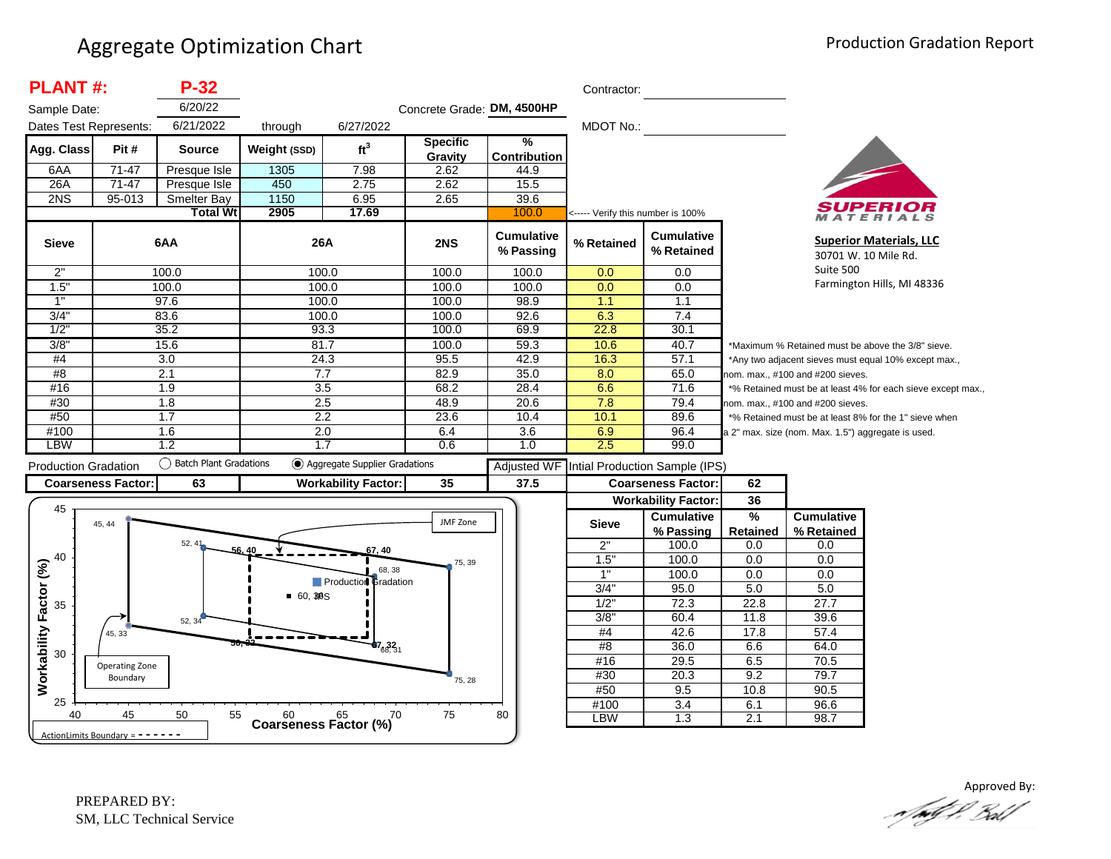| <b>PLANT#:</b>               |                                   | $P-32$                   |                |                                      |                            |                                | Contractor:                       |                                 |                 |                                                    |                                                             |
|------------------------------|-----------------------------------|--------------------------|----------------|--------------------------------------|----------------------------|--------------------------------|-----------------------------------|---------------------------------|-----------------|----------------------------------------------------|-------------------------------------------------------------|
| Sample Date:                 |                                   | 6/20/22                  |                |                                      | Concrete Grade: DM, 4500HP |                                |                                   |                                 |                 |                                                    |                                                             |
| Dates Test Represents:       |                                   | 6/21/2022                | through        | 6/27/2022                            |                            |                                | MDOT No.:                         |                                 |                 |                                                    |                                                             |
|                              |                                   |                          |                |                                      | <b>Specific</b>            | %                              |                                   |                                 |                 |                                                    |                                                             |
| Agg. Class                   | Pit #                             | <b>Source</b>            | Weight (SSD)   | ft <sup>3</sup>                      | Gravity                    | <b>Contribution</b>            |                                   |                                 |                 |                                                    |                                                             |
| 6AA                          | 71-47                             | Presque Isle             | 1305           | 7.98                                 | 2.62                       | 44.9                           |                                   |                                 |                 |                                                    |                                                             |
| 26A                          | $71-47$                           | Presque Isle             | 450            | 2.75                                 | 2.62                       | 15.5                           |                                   |                                 |                 |                                                    |                                                             |
| 2NS                          | 95-013                            | <b>Smelter Bay</b>       | 1150           | 6.95                                 | 2.65                       | 39.6                           |                                   |                                 |                 |                                                    |                                                             |
|                              |                                   | <b>Total Wt</b>          | 2905           | 17.69                                |                            | 100.0                          | <----- Verify this number is 100% |                                 |                 |                                                    |                                                             |
| <b>Sieve</b>                 |                                   | 6AA                      | 26A            |                                      | 2NS                        | <b>Cumulative</b><br>% Passing | % Retained                        | <b>Cumulative</b><br>% Retained |                 |                                                    | <b>Superior Materials, LLC</b><br>30701 W. 10 Mile Rd.      |
| 2"                           |                                   | 100.0                    |                | 100.0                                | 100.0                      | 100.0                          | 0.0                               | 0.0                             |                 | Suite 500                                          |                                                             |
| 1.5"                         |                                   | 100.0                    | 100.0          |                                      | 100.0                      | 100.0                          | 0.0                               | 0.0                             |                 |                                                    | Farmington Hills, MI 48336                                  |
| 1"                           |                                   | 97.6                     | 100.0          |                                      | 100.0                      | 98.9                           | 1.1                               | 1.1                             |                 |                                                    |                                                             |
| 3/4"                         |                                   | 83.6                     | 100.0          |                                      | 100.0                      | 92.6                           | 6.3                               | 7.4                             |                 |                                                    |                                                             |
| 1/2"                         |                                   | 35.2                     | 93.3           |                                      | 100.0                      | 69.9                           | 22.8                              | 30.1                            |                 |                                                    |                                                             |
| 3/8"                         |                                   | 15.6                     | 81.7           |                                      | 100.0                      | 59.3                           | 10.6                              | 40.7                            |                 |                                                    | *Maximum % Retained must be above the 3/8" sieve.           |
| #4                           |                                   | $\overline{3.0}$         |                | 24.3                                 | 95.5                       | 42.9                           | 16.3                              | 57.1                            |                 |                                                    | *Any two adjacent sieves must equal 10% except max.,        |
| #8                           |                                   | 2.1                      | 7.7            |                                      | 82.9                       | 35.0                           | 8.0                               | 65.0                            |                 | nom. max., #100 and #200 sieves.                   |                                                             |
| #16                          |                                   | 1.9                      | 3.5            |                                      | 68.2                       | 28.4                           | 6.6                               | 71.6                            |                 |                                                    | *% Retained must be at least 4% for each sieve except max., |
| #30                          |                                   | 1.8                      | 2.5            |                                      | 48.9                       | 20.6                           | 7.8                               | 79.4                            |                 | nom. max., #100 and #200 sieves.                   |                                                             |
| #50                          |                                   | 1.7                      | 2.2            |                                      | 23.6                       | 10.4                           | 10.1                              | 89.6                            |                 |                                                    | *% Retained must be at least 8% for the 1" sieve when       |
| #100                         |                                   | 1.6                      | 2.0            |                                      | 6.4                        | 3.6                            | 6.9                               | 96.4                            |                 | a 2" max. size (nom. Max. 1.5") aggregate is used. |                                                             |
| <b>LBW</b>                   |                                   | 1.2                      | 1.7            |                                      | 0.6                        | 1.0                            | 2.5                               | 99.0                            |                 |                                                    |                                                             |
| <b>Production Gradation</b>  |                                   | ◯ Batch Plant Gradations |                | (c) Aggregate Supplier Gradations    |                            | <b>Adjusted WF</b>             |                                   | Intial Production Sample (IPS)  |                 |                                                    |                                                             |
|                              | <b>Coarseness Factor:</b>         | 63                       |                | <b>Workability Factor:</b>           | 35                         | 37.5                           |                                   | <b>Coarseness Factor:</b>       | 62              |                                                    |                                                             |
|                              |                                   |                          |                |                                      |                            |                                |                                   | <b>Workability Factor:</b>      | 36              |                                                    |                                                             |
| 45                           |                                   |                          |                |                                      |                            |                                |                                   | <b>Cumulative</b>               | %               | <b>Cumulative</b>                                  |                                                             |
|                              | 45, 44                            |                          |                |                                      | JMF Zone                   |                                | <b>Sieve</b>                      | % Passing                       | <b>Retained</b> | % Retained                                         |                                                             |
|                              |                                   | 52, 41                   |                |                                      |                            |                                | 2"                                | 100.0                           | 0.0             | 0.0                                                |                                                             |
| 40                           |                                   |                          |                | 7, 40                                | 75, 39                     |                                | 1.5"                              | 100.0                           | 0.0             | 0.0                                                |                                                             |
|                              |                                   |                          |                | 68, 38                               |                            |                                | 1"                                | 100.0                           | 0.0             | 0.0                                                |                                                             |
|                              |                                   |                          |                | Production Gradation                 |                            |                                | 3/4"                              | 95.0                            | 5.0             | 5.0                                                |                                                             |
| 35                           |                                   |                          | <b>60, 3BS</b> |                                      |                            |                                | 1/2"                              | 72.3                            | 22.8            | 27.7                                               |                                                             |
|                              |                                   | 52, 34                   |                |                                      |                            |                                | 3/8"                              | 60.4                            | 11.8            | 39.6                                               |                                                             |
|                              | 45, 33                            |                          |                |                                      |                            |                                | $\#4$                             | 42.6                            | 17.8            | 57.4                                               |                                                             |
| Workability Factor (%)<br>30 |                                   |                          |                | $\mathbf{67}_{68,31}$                |                            |                                | #8                                | 36.0                            | 6.6             | 64.0                                               |                                                             |
|                              | Operating Zone                    |                          |                |                                      |                            |                                | #16                               | 29.5                            | 6.5             | 70.5                                               |                                                             |
|                              | Boundary                          |                          |                |                                      | 75, 28                     |                                | #30                               | 20.3                            | 9.2             | 79.7                                               |                                                             |
|                              |                                   |                          |                |                                      |                            |                                | #50                               | 9.5                             | 10.8            | 90.5                                               |                                                             |
| 25                           |                                   |                          |                |                                      |                            |                                | #100                              | $\overline{3.4}$                | 6.1             | 96.6                                               |                                                             |
| 40                           | 45                                | 50<br>55                 |                | Coarseness Factor $\binom{60}{6}$ 70 | 75                         | 80                             | LBW                               | $\overline{1.3}$                | 2.1             | 98.7                                               |                                                             |
|                              | ActionLimits Boundary = - - - - - |                          |                |                                      |                            |                                |                                   |                                 |                 |                                                    |                                                             |

Approved By:<br>Approved By: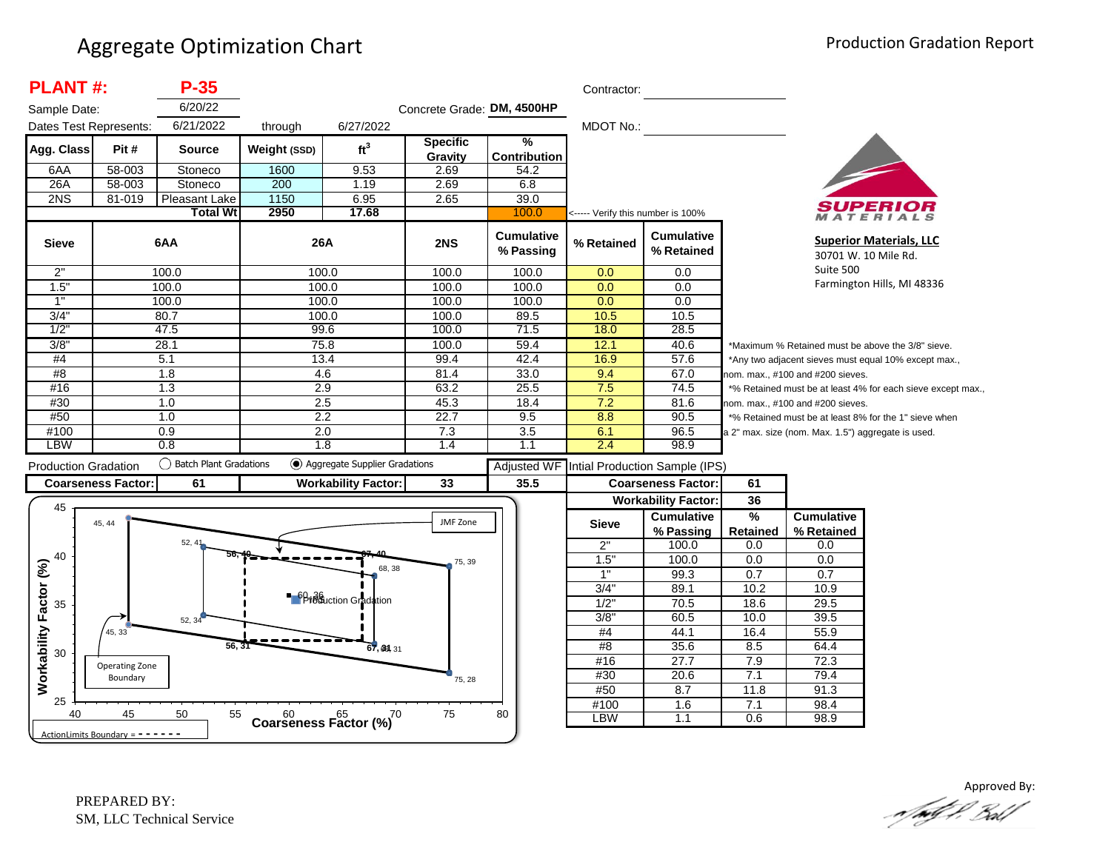| <b>PLANT#:</b>                                           |                            | $P-35$                        |                                      |                                                        |                            |                                      | Contractor:                       |                                                              |                                                             |                                                      |                                                       |  |
|----------------------------------------------------------|----------------------------|-------------------------------|--------------------------------------|--------------------------------------------------------|----------------------------|--------------------------------------|-----------------------------------|--------------------------------------------------------------|-------------------------------------------------------------|------------------------------------------------------|-------------------------------------------------------|--|
| Sample Date:                                             |                            | 6/20/22                       |                                      |                                                        | Concrete Grade: DM, 4500HP |                                      |                                   |                                                              |                                                             |                                                      |                                                       |  |
| Dates Test Represents:                                   |                            | 6/21/2022                     | through                              | 6/27/2022                                              |                            |                                      | MDOT No.:                         |                                                              |                                                             |                                                      |                                                       |  |
| Agg. Class                                               | Pit#                       | <b>Source</b>                 | Weight (SSD)                         | ft <sup>3</sup>                                        | <b>Specific</b><br>Gravity | $\frac{9}{6}$<br><b>Contribution</b> |                                   |                                                              |                                                             |                                                      |                                                       |  |
| 6AA                                                      | 58-003                     | Stoneco                       | 1600                                 | 9.53                                                   | 2.69                       | 54.2                                 |                                   |                                                              |                                                             |                                                      |                                                       |  |
| 26A                                                      | 58-003                     | Stoneco                       | 200                                  | 1.19                                                   | 2.69                       | 6.8                                  |                                   |                                                              |                                                             |                                                      |                                                       |  |
| 2NS                                                      | 81-019                     | Pleasant Lake                 | 1150                                 | 6.95                                                   | 2.65                       | 39.0                                 |                                   |                                                              |                                                             |                                                      |                                                       |  |
|                                                          |                            | <b>Total Wt</b>               | 2950                                 | 17.68                                                  |                            | 100.0                                | <----- Verify this number is 100% |                                                              |                                                             |                                                      | <b>ATERIALS</b>                                       |  |
| <b>Sieve</b>                                             |                            | 6AA                           | 26A                                  |                                                        | 2NS                        | <b>Cumulative</b><br>% Passing       | % Retained                        | <b>Cumulative</b><br>% Retained                              | 30701 W. 10 Mile Rd.                                        |                                                      | <b>Superior Materials, LLC</b>                        |  |
| 2"                                                       |                            | 100.0                         | 100.0                                |                                                        | 100.0                      | 100.0                                | 0.0                               | 0.0                                                          |                                                             | Suite 500                                            |                                                       |  |
| 1.5"                                                     |                            | 100.0                         | 100.0                                |                                                        | 100.0                      | 100.0                                | 0.0                               | 0.0                                                          |                                                             |                                                      | Farmington Hills, MI 48336                            |  |
| 1"                                                       |                            | 100.0                         | 100.0                                |                                                        | 100.0                      | 100.0                                | 0.0                               | 0.0                                                          |                                                             |                                                      |                                                       |  |
| 3/4"                                                     |                            | 80.7                          | 100.0                                |                                                        | 100.0                      | 89.5                                 | 10.5                              | 10.5                                                         |                                                             |                                                      |                                                       |  |
| 1/2"                                                     |                            | 47.5                          | 99.6                                 |                                                        | 100.0                      | 71.5                                 | 18.0                              | 28.5                                                         |                                                             |                                                      |                                                       |  |
| 3/8"                                                     |                            | 28.1                          | 75.8                                 |                                                        | 100.0                      | 59.4                                 | 12.1                              | 40.6                                                         |                                                             | *Maximum % Retained must be above the 3/8" sieve.    |                                                       |  |
| #4                                                       |                            | 5.1                           | 13.4                                 |                                                        | 99.4                       | 42.4                                 | 16.9                              | 57.6                                                         |                                                             | *Any two adjacent sieves must equal 10% except max., |                                                       |  |
| #8                                                       |                            | 1.8                           | 4.6                                  |                                                        | 81.4                       | 33.0                                 | 9.4                               | 67.0                                                         | nom. max., #100 and #200 sieves.                            |                                                      |                                                       |  |
| #16                                                      |                            | 1.3                           | 2.9                                  |                                                        | 63.2                       | 25.5                                 | 7.5                               | 74.5                                                         | *% Retained must be at least 4% for each sieve except max., |                                                      |                                                       |  |
| #30                                                      |                            | 1.0                           | 2.5                                  |                                                        | 45.3                       | 18.4                                 | 7.2                               | 81.6                                                         | nom. max., #100 and #200 sieves.                            |                                                      |                                                       |  |
| #50                                                      |                            | 1.0                           | 2.2                                  |                                                        | 22.7                       | 9.5                                  | 8.8                               | 90.5                                                         |                                                             |                                                      | *% Retained must be at least 8% for the 1" sieve when |  |
| #100                                                     |                            | 0.9                           | 2.0                                  |                                                        | 7.3                        | 3.5                                  | 6.1                               | 96.5                                                         |                                                             | a 2" max. size (nom. Max. 1.5") aggregate is used.   |                                                       |  |
|                                                          |                            | 0.8                           | 1.8                                  |                                                        | 1.4                        | 1.1                                  | 2.4                               | 98.9                                                         |                                                             |                                                      |                                                       |  |
| LBW                                                      |                            |                               |                                      |                                                        |                            |                                      |                                   |                                                              |                                                             |                                                      |                                                       |  |
|                                                          |                            | <b>Batch Plant Gradations</b> |                                      | Aggregate Supplier Gradations                          |                            |                                      |                                   |                                                              |                                                             |                                                      |                                                       |  |
|                                                          |                            |                               |                                      |                                                        |                            | <b>Adjusted WF</b>                   |                                   | Intial Production Sample (IPS)                               |                                                             |                                                      |                                                       |  |
| <b>Production Gradation</b><br><b>Coarseness Factor:</b> |                            | 61                            |                                      | <b>Workability Factor:</b>                             | 33                         | 35.5                                 |                                   | <b>Coarseness Factor:</b>                                    | 61                                                          |                                                      |                                                       |  |
| 45                                                       | 45, 44                     |                               |                                      |                                                        | JMF Zone                   |                                      | <b>Sieve</b>                      | <b>Workability Factor:</b><br><b>Cumulative</b><br>% Passing | 36<br>%<br>Retained                                         | <b>Cumulative</b><br>% Retained                      |                                                       |  |
|                                                          |                            | $52, 4^{\circ}$               |                                      |                                                        |                            |                                      | 2"                                | 100.0                                                        | 0.0                                                         | 0.0                                                  |                                                       |  |
| 40                                                       |                            |                               |                                      |                                                        | 75, 39                     |                                      | 1.5'                              | 100.0                                                        | 0.0                                                         | 0.0                                                  |                                                       |  |
|                                                          |                            |                               |                                      | 68, 38                                                 |                            |                                      | 1"                                | 99.3                                                         | 0.7                                                         | 0.7                                                  |                                                       |  |
|                                                          |                            |                               |                                      |                                                        |                            |                                      | 3/4'                              | 89.1                                                         | 10.2                                                        | 10.9                                                 |                                                       |  |
| 35                                                       |                            |                               |                                      | <b>P</b> <sup>6</sup> <sup>8</sup> te action Gradation |                            |                                      | $1/2$ "                           | 70.5                                                         | 18.6                                                        | 29.5                                                 |                                                       |  |
|                                                          |                            | 52, 34                        |                                      |                                                        |                            |                                      | 3/8                               | 60.5                                                         | 10.0                                                        | 39.5                                                 |                                                       |  |
|                                                          | 45, 33                     |                               |                                      |                                                        |                            |                                      | #4                                | 44.1                                                         | 16.4                                                        | 55.9                                                 |                                                       |  |
|                                                          |                            | 56, 31                        |                                      | 67, 39, 31                                             |                            |                                      | #8                                | 35.6                                                         | 8.5                                                         | 64.4                                                 |                                                       |  |
| 30                                                       |                            |                               |                                      |                                                        |                            |                                      | #16                               | 27.7                                                         | 7.9                                                         | 72.3                                                 |                                                       |  |
|                                                          | Operating Zone<br>Boundary |                               |                                      |                                                        |                            |                                      | #30                               | 20.6                                                         | 7.1                                                         | 79.4                                                 |                                                       |  |
| Workability Factor (%)                                   |                            |                               |                                      |                                                        | 75, 28                     |                                      | #50                               | 8.7                                                          | 11.8                                                        | 91.3                                                 |                                                       |  |
| 25<br>40                                                 | 45                         | 50<br>55                      | $60$ $65$ $65$ Coarseness Factor (%) |                                                        | 75                         | 80                                   | #100                              | 1.6                                                          | 7.1                                                         | 98.4                                                 |                                                       |  |

Approved By: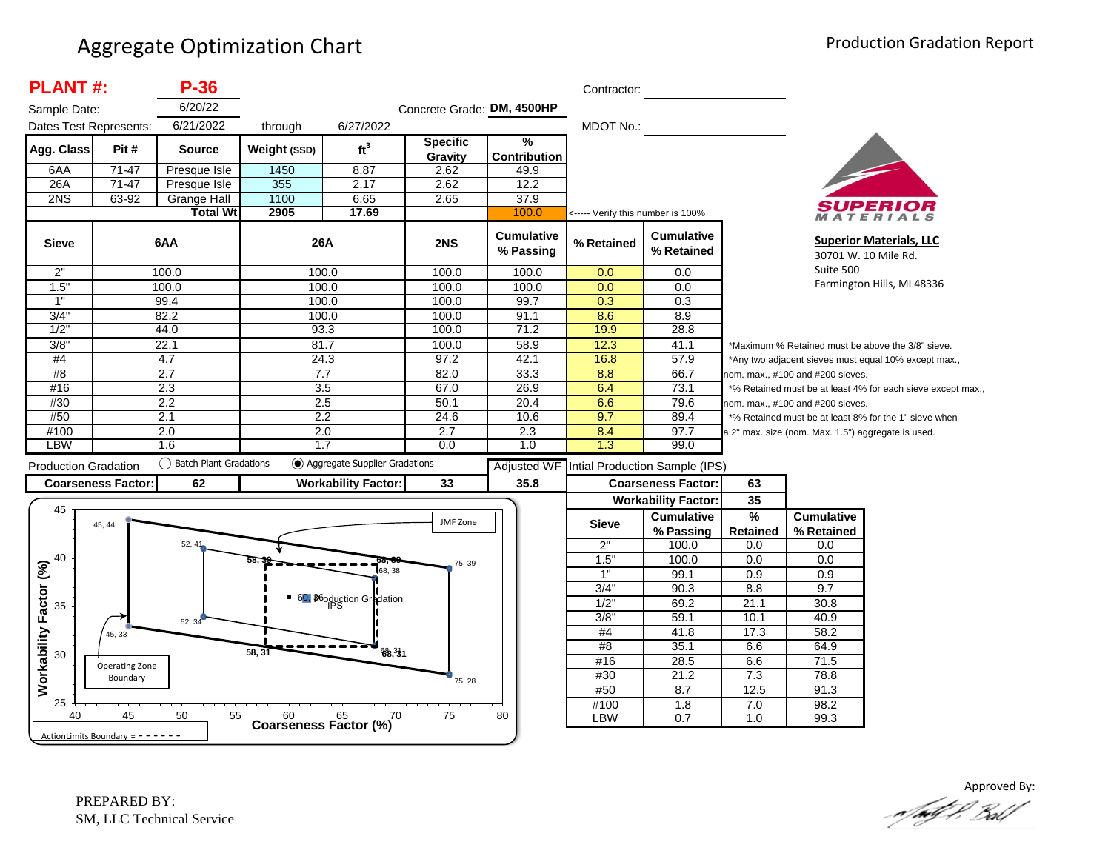| <b>PLANT#:</b>              |                                   | $P-36$                   |                                      |                                 |                            |                                | Contractor:                       |                                 |                                                             |                                                      |                                                        |  |
|-----------------------------|-----------------------------------|--------------------------|--------------------------------------|---------------------------------|----------------------------|--------------------------------|-----------------------------------|---------------------------------|-------------------------------------------------------------|------------------------------------------------------|--------------------------------------------------------|--|
| Sample Date:                |                                   | 6/20/22                  |                                      |                                 | Concrete Grade: DM, 4500HP |                                |                                   |                                 |                                                             |                                                      |                                                        |  |
| Dates Test Represents:      |                                   | 6/21/2022                | through                              | 6/27/2022                       |                            |                                | MDOT No.:                         |                                 |                                                             |                                                      |                                                        |  |
| Agg. Class                  | Pit #                             | <b>Source</b>            | Weight (SSD)                         | ft <sup>3</sup>                 | <b>Specific</b><br>Gravity | %<br><b>Contribution</b>       |                                   |                                 |                                                             |                                                      |                                                        |  |
| 6AA                         | 71-47                             | Presque Isle             | 1450                                 | 8.87                            | 2.62                       | 49.9                           |                                   |                                 |                                                             |                                                      |                                                        |  |
| 26A                         | $71-47$                           | Presque Isle             | 355                                  | 2.17                            | 2.62                       | 12.2                           |                                   |                                 |                                                             |                                                      |                                                        |  |
| 2NS                         | 63-92                             | <b>Grange Hall</b>       | 1100                                 | 6.65                            | 2.65                       | 37.9                           |                                   |                                 |                                                             |                                                      |                                                        |  |
|                             |                                   | <b>Total Wt</b>          | 2905                                 | 17.69                           |                            | 100.0                          | <----- Verify this number is 100% |                                 |                                                             |                                                      | ATERIALS                                               |  |
| <b>Sieve</b>                |                                   | 6AA                      | 26A                                  |                                 | 2NS                        | <b>Cumulative</b><br>% Passing | % Retained                        | <b>Cumulative</b><br>% Retained |                                                             |                                                      | <b>Superior Materials, LLC</b><br>30701 W. 10 Mile Rd. |  |
| 2"                          |                                   | 100.0                    |                                      | 100.0                           | 100.0                      | 100.0                          | 0.0                               | 0.0                             |                                                             | Suite 500                                            |                                                        |  |
| 1.5"                        |                                   | 100.0                    |                                      | 100.0                           | 100.0                      | 100.0                          | 0.0                               | 0.0                             |                                                             |                                                      | Farmington Hills, MI 48336                             |  |
| 1"                          |                                   | 99.4                     |                                      | 100.0                           | 100.0                      | 99.7                           | 0.3                               | 0.3                             |                                                             |                                                      |                                                        |  |
| 3/4"                        |                                   | 82.2                     |                                      | 100.0                           | 100.0                      | 91.1                           | 8.6                               | 8.9                             |                                                             |                                                      |                                                        |  |
| 1/2                         |                                   | 44.0                     |                                      | 93.3                            | 100.0                      | 71.2                           | 19.9                              | 28.8                            |                                                             |                                                      |                                                        |  |
| 3/8"                        |                                   | 22.1                     | 81.7                                 |                                 | 100.0                      | 58.9                           | 12.3                              | 41.1                            |                                                             |                                                      | *Maximum % Retained must be above the 3/8" sieve.      |  |
| #4                          |                                   | 4.7                      |                                      | 24.3                            | 97.2                       | 42.1                           | 16.8                              | 57.9                            |                                                             | *Any two adjacent sieves must equal 10% except max., |                                                        |  |
| #8                          |                                   | 2.7                      | 7.7                                  |                                 | 82.0                       | 33.3                           | 8.8                               | 66.7                            | nom. max., #100 and #200 sieves.                            |                                                      |                                                        |  |
| #16                         |                                   | 2.3                      |                                      | 3.5                             | 67.0                       | 26.9                           | 6.4                               | 73.1                            | *% Retained must be at least 4% for each sieve except max., |                                                      |                                                        |  |
| #30                         |                                   | 2.2                      |                                      | 2.5                             | 50.1                       | 20.4                           | 6.6                               | 79.6                            |                                                             | nom. max., #100 and #200 sieves.                     |                                                        |  |
| #50                         |                                   | 2.1                      |                                      | 2.2                             | 24.6                       | 10.6                           | 9.7                               | 89.4                            |                                                             |                                                      | *% Retained must be at least 8% for the 1" sieve when  |  |
| #100                        |                                   | 2.0                      | 2.0                                  |                                 | 2.7                        | 2.3                            | 8.4                               | 97.7                            |                                                             | a 2" max. size (nom. Max. 1.5") aggregate is used.   |                                                        |  |
| <b>LBW</b>                  |                                   | 1.6                      |                                      | 1.7                             | 0.0                        | 1.0                            | 1.3                               | 99.0                            |                                                             |                                                      |                                                        |  |
| <b>Production Gradation</b> |                                   | ◯ Batch Plant Gradations |                                      | ◯ Aggregate Supplier Gradations |                            | <b>Adjusted WF</b>             |                                   | Intial Production Sample (IPS)  |                                                             |                                                      |                                                        |  |
|                             | <b>Coarseness Factor:</b>         | 62                       |                                      | <b>Workability Factor:</b>      | 33                         | 35.8                           |                                   | <b>Coarseness Factor:</b>       | 63                                                          |                                                      |                                                        |  |
|                             |                                   |                          |                                      |                                 |                            |                                |                                   | <b>Workability Factor:</b>      | 35                                                          |                                                      |                                                        |  |
| 45                          |                                   |                          |                                      |                                 |                            |                                |                                   | <b>Cumulative</b>               | $\frac{9}{6}$                                               | <b>Cumulative</b>                                    |                                                        |  |
|                             | 45, 44                            |                          |                                      |                                 | JMF Zone                   |                                | <b>Sieve</b>                      | % Passing                       | <b>Retained</b>                                             | % Retained                                           |                                                        |  |
|                             |                                   | 52, 41                   |                                      |                                 |                            |                                | 2"                                | 100.0                           | 0.0                                                         | 0.0                                                  |                                                        |  |
| 40                          |                                   |                          |                                      |                                 |                            |                                | 1.5"                              | 100.0                           | 0.0                                                         | 0.0                                                  |                                                        |  |
|                             |                                   |                          |                                      | 68.38                           | 75, 39                     |                                | 1"                                | 99.1                            | 0.9                                                         | 0.9                                                  |                                                        |  |
|                             |                                   |                          |                                      |                                 |                            |                                | 3/4"                              | 90.3                            | 8.8                                                         | 9.7                                                  |                                                        |  |
| 35                          |                                   |                          |                                      | 60, Booduction Gradation        |                            |                                | 1/2"                              | 69.2                            | 21.1                                                        | 30.8                                                 |                                                        |  |
|                             |                                   | 52, 34                   |                                      |                                 |                            |                                | $3/8$ "                           | 59.1                            | 10.1                                                        | 40.9                                                 |                                                        |  |
|                             | 45, 33                            |                          |                                      |                                 |                            |                                | #4                                | 41.8                            | 17.3                                                        | 58.2                                                 |                                                        |  |
| Workability Factor (%)      |                                   |                          |                                      |                                 |                            |                                | #8                                | 35.1                            | 6.6                                                         | 64.9                                                 |                                                        |  |
| 30                          | Operating Zone                    |                          | 58, 31                               | 68.31                           |                            |                                | #16                               | 28.5                            | 6.6                                                         | 71.5                                                 |                                                        |  |
|                             | Boundary                          |                          |                                      |                                 |                            |                                | #30                               | 21.2                            | 7.3                                                         | 78.8                                                 |                                                        |  |
|                             |                                   |                          |                                      |                                 | 75, 28                     |                                | #50                               | 8.7                             | 12.5                                                        | 91.3                                                 |                                                        |  |
| 25                          |                                   |                          |                                      |                                 |                            |                                | #100                              | $\overline{1.8}$                | 7.0                                                         | 98.2                                                 |                                                        |  |
| 40                          | 45                                | 50<br>55                 | $60$ $65$ $65$ Coarseness Factor (%) | .70                             | 75                         | 80                             | <b>LBW</b>                        | 0.7                             | 1.0                                                         | 99.3                                                 |                                                        |  |
|                             | ActionLimits Boundary = - - - - - |                          |                                      |                                 |                            |                                |                                   |                                 |                                                             |                                                      |                                                        |  |

Approved By: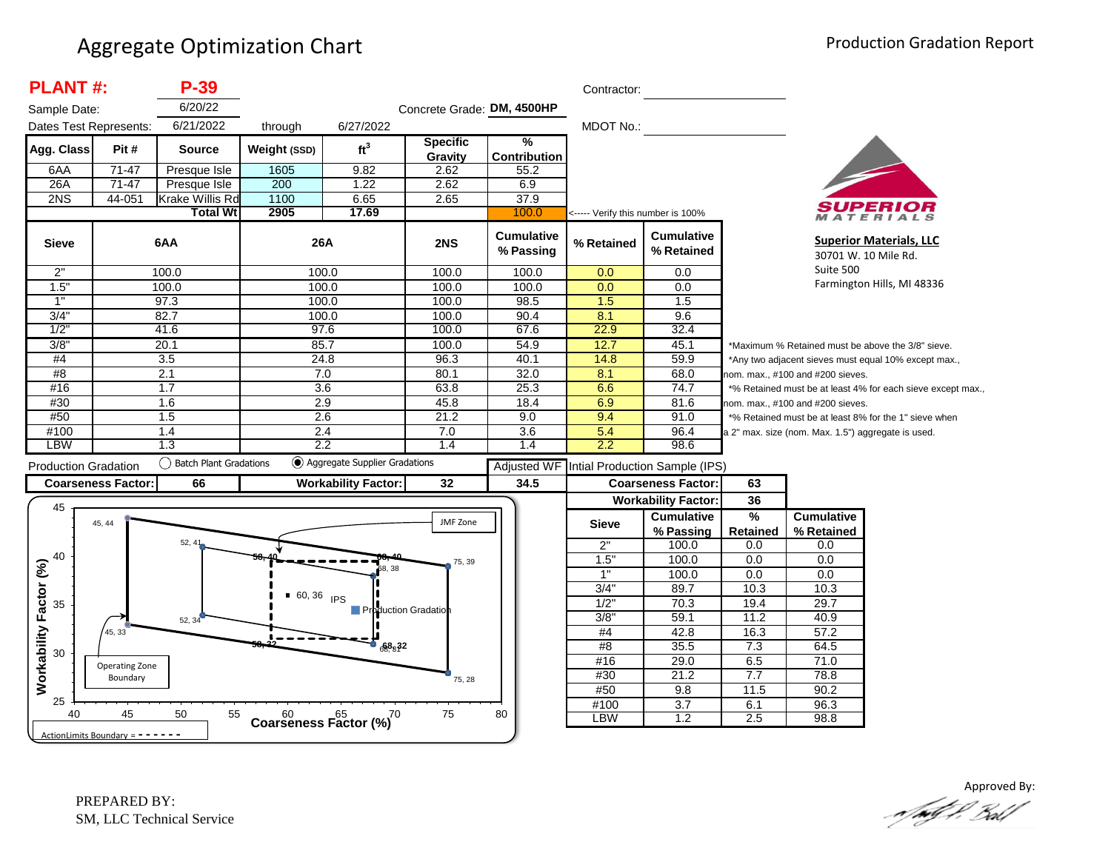| <b>PLANT#:</b>              | $P-39$                                                         |                                                                                                                                                           |                                                                                               |                                                                                                                                                                                                                                    |                                                                                                                                   | Contractor:                                                                                       |                                                           |                                                                                                                                                                  |                                                        |                                                                                                                                                                                                                                                                                                                                                                                 |
|-----------------------------|----------------------------------------------------------------|-----------------------------------------------------------------------------------------------------------------------------------------------------------|-----------------------------------------------------------------------------------------------|------------------------------------------------------------------------------------------------------------------------------------------------------------------------------------------------------------------------------------|-----------------------------------------------------------------------------------------------------------------------------------|---------------------------------------------------------------------------------------------------|-----------------------------------------------------------|------------------------------------------------------------------------------------------------------------------------------------------------------------------|--------------------------------------------------------|---------------------------------------------------------------------------------------------------------------------------------------------------------------------------------------------------------------------------------------------------------------------------------------------------------------------------------------------------------------------------------|
| Sample Date:                | 6/20/22                                                        |                                                                                                                                                           |                                                                                               |                                                                                                                                                                                                                                    |                                                                                                                                   |                                                                                                   |                                                           |                                                                                                                                                                  |                                                        |                                                                                                                                                                                                                                                                                                                                                                                 |
|                             |                                                                |                                                                                                                                                           |                                                                                               |                                                                                                                                                                                                                                    |                                                                                                                                   |                                                                                                   |                                                           |                                                                                                                                                                  |                                                        |                                                                                                                                                                                                                                                                                                                                                                                 |
| Pit #                       | <b>Source</b>                                                  |                                                                                                                                                           |                                                                                               | <b>Specific</b>                                                                                                                                                                                                                    | %                                                                                                                                 |                                                                                                   |                                                           |                                                                                                                                                                  |                                                        |                                                                                                                                                                                                                                                                                                                                                                                 |
|                             |                                                                |                                                                                                                                                           |                                                                                               |                                                                                                                                                                                                                                    |                                                                                                                                   |                                                                                                   |                                                           |                                                                                                                                                                  |                                                        |                                                                                                                                                                                                                                                                                                                                                                                 |
|                             |                                                                |                                                                                                                                                           |                                                                                               |                                                                                                                                                                                                                                    |                                                                                                                                   |                                                                                                   |                                                           |                                                                                                                                                                  |                                                        |                                                                                                                                                                                                                                                                                                                                                                                 |
|                             |                                                                |                                                                                                                                                           |                                                                                               |                                                                                                                                                                                                                                    |                                                                                                                                   |                                                                                                   |                                                           |                                                                                                                                                                  |                                                        |                                                                                                                                                                                                                                                                                                                                                                                 |
|                             |                                                                |                                                                                                                                                           |                                                                                               |                                                                                                                                                                                                                                    |                                                                                                                                   |                                                                                                   |                                                           |                                                                                                                                                                  |                                                        |                                                                                                                                                                                                                                                                                                                                                                                 |
|                             |                                                                |                                                                                                                                                           |                                                                                               |                                                                                                                                                                                                                                    |                                                                                                                                   |                                                                                                   |                                                           |                                                                                                                                                                  |                                                        |                                                                                                                                                                                                                                                                                                                                                                                 |
|                             |                                                                |                                                                                                                                                           |                                                                                               | 2NS                                                                                                                                                                                                                                | <b>Cumulative</b><br>% Passing                                                                                                    | % Retained                                                                                        | <b>Cumulative</b><br>% Retained                           |                                                                                                                                                                  |                                                        | <b>Superior Materials, LLC</b><br>30701 W. 10 Mile Rd.                                                                                                                                                                                                                                                                                                                          |
|                             |                                                                |                                                                                                                                                           |                                                                                               |                                                                                                                                                                                                                                    |                                                                                                                                   |                                                                                                   |                                                           |                                                                                                                                                                  | Suite 500                                              |                                                                                                                                                                                                                                                                                                                                                                                 |
|                             |                                                                |                                                                                                                                                           |                                                                                               | 100.0                                                                                                                                                                                                                              | 100.0                                                                                                                             | 0.0                                                                                               | 0.0                                                       |                                                                                                                                                                  |                                                        | Farmington Hills, MI 48336                                                                                                                                                                                                                                                                                                                                                      |
|                             |                                                                |                                                                                                                                                           |                                                                                               | 100.0                                                                                                                                                                                                                              | 98.5                                                                                                                              | 1.5                                                                                               | 1.5                                                       |                                                                                                                                                                  |                                                        |                                                                                                                                                                                                                                                                                                                                                                                 |
|                             |                                                                |                                                                                                                                                           |                                                                                               |                                                                                                                                                                                                                                    | 90.4                                                                                                                              |                                                                                                   | 9.6                                                       |                                                                                                                                                                  |                                                        |                                                                                                                                                                                                                                                                                                                                                                                 |
|                             |                                                                |                                                                                                                                                           |                                                                                               | 100.0                                                                                                                                                                                                                              | 67.6                                                                                                                              | 22.9                                                                                              | 32.4                                                      |                                                                                                                                                                  |                                                        |                                                                                                                                                                                                                                                                                                                                                                                 |
|                             |                                                                |                                                                                                                                                           |                                                                                               | 100.0                                                                                                                                                                                                                              | 54.9                                                                                                                              | 12.7                                                                                              | 45.1                                                      |                                                                                                                                                                  |                                                        |                                                                                                                                                                                                                                                                                                                                                                                 |
|                             | $\overline{3.5}$                                               |                                                                                                                                                           |                                                                                               | 96.3                                                                                                                                                                                                                               | 40.1                                                                                                                              | 14.8                                                                                              | 59.9                                                      |                                                                                                                                                                  |                                                        |                                                                                                                                                                                                                                                                                                                                                                                 |
|                             | 2.1                                                            |                                                                                                                                                           |                                                                                               | 80.1                                                                                                                                                                                                                               | 32.0                                                                                                                              | 8.1                                                                                               | 68.0                                                      |                                                                                                                                                                  |                                                        |                                                                                                                                                                                                                                                                                                                                                                                 |
|                             | 1.7                                                            |                                                                                                                                                           |                                                                                               | 63.8                                                                                                                                                                                                                               | 25.3                                                                                                                              | 6.6                                                                                               | 74.7                                                      |                                                                                                                                                                  |                                                        |                                                                                                                                                                                                                                                                                                                                                                                 |
|                             | 1.6                                                            |                                                                                                                                                           |                                                                                               | 45.8                                                                                                                                                                                                                               | 18.4                                                                                                                              | 6.9                                                                                               | 81.6                                                      |                                                                                                                                                                  |                                                        |                                                                                                                                                                                                                                                                                                                                                                                 |
|                             | 1.5                                                            |                                                                                                                                                           |                                                                                               | 21.2                                                                                                                                                                                                                               | 9.0                                                                                                                               | 9.4                                                                                               | 91.0                                                      |                                                                                                                                                                  |                                                        |                                                                                                                                                                                                                                                                                                                                                                                 |
|                             | 1.4                                                            |                                                                                                                                                           |                                                                                               | 7.0                                                                                                                                                                                                                                | 3.6                                                                                                                               | 5.4                                                                                               | 96.4                                                      |                                                                                                                                                                  |                                                        |                                                                                                                                                                                                                                                                                                                                                                                 |
|                             |                                                                |                                                                                                                                                           |                                                                                               | 1.4                                                                                                                                                                                                                                |                                                                                                                                   |                                                                                                   |                                                           |                                                                                                                                                                  |                                                        |                                                                                                                                                                                                                                                                                                                                                                                 |
| <b>Production Gradation</b> |                                                                |                                                                                                                                                           |                                                                                               |                                                                                                                                                                                                                                    | Adjusted WF                                                                                                                       |                                                                                                   |                                                           |                                                                                                                                                                  |                                                        |                                                                                                                                                                                                                                                                                                                                                                                 |
| <b>Coarseness Factor:</b>   | 66                                                             |                                                                                                                                                           |                                                                                               | 32                                                                                                                                                                                                                                 | 34.5                                                                                                                              |                                                                                                   |                                                           | 63                                                                                                                                                               |                                                        |                                                                                                                                                                                                                                                                                                                                                                                 |
|                             |                                                                |                                                                                                                                                           |                                                                                               |                                                                                                                                                                                                                                    |                                                                                                                                   |                                                                                                   |                                                           | 36                                                                                                                                                               |                                                        |                                                                                                                                                                                                                                                                                                                                                                                 |
|                             |                                                                |                                                                                                                                                           |                                                                                               |                                                                                                                                                                                                                                    |                                                                                                                                   |                                                                                                   | <b>Cumulative</b>                                         | %                                                                                                                                                                | <b>Cumulative</b>                                      |                                                                                                                                                                                                                                                                                                                                                                                 |
|                             |                                                                |                                                                                                                                                           |                                                                                               |                                                                                                                                                                                                                                    |                                                                                                                                   |                                                                                                   | % Passing                                                 | <b>Retained</b>                                                                                                                                                  | % Retained                                             |                                                                                                                                                                                                                                                                                                                                                                                 |
|                             |                                                                |                                                                                                                                                           |                                                                                               |                                                                                                                                                                                                                                    |                                                                                                                                   | 2"                                                                                                | 100.0                                                     | 0.0                                                                                                                                                              | 0.0                                                    |                                                                                                                                                                                                                                                                                                                                                                                 |
|                             |                                                                |                                                                                                                                                           |                                                                                               | 75, 39                                                                                                                                                                                                                             |                                                                                                                                   | 1.5"                                                                                              |                                                           | 0.0                                                                                                                                                              | 0.0                                                    |                                                                                                                                                                                                                                                                                                                                                                                 |
|                             |                                                                |                                                                                                                                                           |                                                                                               |                                                                                                                                                                                                                                    |                                                                                                                                   | 1"                                                                                                | 100.0                                                     | 0.0                                                                                                                                                              | 0.0                                                    |                                                                                                                                                                                                                                                                                                                                                                                 |
|                             |                                                                |                                                                                                                                                           |                                                                                               |                                                                                                                                                                                                                                    |                                                                                                                                   |                                                                                                   |                                                           |                                                                                                                                                                  | 10.3                                                   |                                                                                                                                                                                                                                                                                                                                                                                 |
|                             |                                                                |                                                                                                                                                           |                                                                                               |                                                                                                                                                                                                                                    |                                                                                                                                   |                                                                                                   |                                                           |                                                                                                                                                                  |                                                        |                                                                                                                                                                                                                                                                                                                                                                                 |
|                             | 52, 34                                                         |                                                                                                                                                           |                                                                                               |                                                                                                                                                                                                                                    |                                                                                                                                   |                                                                                                   |                                                           |                                                                                                                                                                  |                                                        |                                                                                                                                                                                                                                                                                                                                                                                 |
| 45, 33                      |                                                                |                                                                                                                                                           |                                                                                               |                                                                                                                                                                                                                                    |                                                                                                                                   | #4                                                                                                | 42.8                                                      | 16.3                                                                                                                                                             | 57.2                                                   |                                                                                                                                                                                                                                                                                                                                                                                 |
|                             |                                                                |                                                                                                                                                           | $\sqrt{68.832}$                                                                               |                                                                                                                                                                                                                                    |                                                                                                                                   | #8                                                                                                | 35.5                                                      | 7.3                                                                                                                                                              | 64.5                                                   |                                                                                                                                                                                                                                                                                                                                                                                 |
|                             |                                                                |                                                                                                                                                           |                                                                                               |                                                                                                                                                                                                                                    |                                                                                                                                   |                                                                                                   |                                                           |                                                                                                                                                                  |                                                        |                                                                                                                                                                                                                                                                                                                                                                                 |
| Operating Zone              |                                                                |                                                                                                                                                           |                                                                                               |                                                                                                                                                                                                                                    |                                                                                                                                   | #16                                                                                               | 29.0                                                      | 6.5                                                                                                                                                              | 71.0                                                   |                                                                                                                                                                                                                                                                                                                                                                                 |
| Boundary                    |                                                                |                                                                                                                                                           |                                                                                               | 75, 28                                                                                                                                                                                                                             |                                                                                                                                   | #30                                                                                               | 21.2                                                      | 7.7                                                                                                                                                              | 78.8                                                   |                                                                                                                                                                                                                                                                                                                                                                                 |
|                             |                                                                |                                                                                                                                                           |                                                                                               |                                                                                                                                                                                                                                    |                                                                                                                                   | #50                                                                                               | 9.8                                                       | 11.5                                                                                                                                                             | 90.2                                                   |                                                                                                                                                                                                                                                                                                                                                                                 |
| 45                          | 50<br>55                                                       |                                                                                                                                                           | $60$ $65$ $70$<br>Coarseness Factor (%)                                                       | 75                                                                                                                                                                                                                                 | 80                                                                                                                                | #100<br>LBW                                                                                       | $\overline{3.7}$<br>1.2                                   | 6.1<br>2.5                                                                                                                                                       | 96.3<br>98.8                                           |                                                                                                                                                                                                                                                                                                                                                                                 |
|                             | Dates Test Represents:<br>71-47<br>$71-47$<br>44-051<br>45, 44 | 6/21/2022<br>Presque Isle<br>Presque Isle<br>Krake Willis Rd<br><b>Total Wt</b><br>6AA<br>100.0<br>100.0<br>97.3<br>82.7<br>41.6<br>20.1<br>1.3<br>52, 41 | through<br>Weight (SSD)<br>1605<br>$\overline{200}$<br>1100<br>2905<br>Batch Plant Gradations | 6/27/2022<br>ft <sup>3</sup><br>9.82<br>1.22<br>6.65<br>17.69<br>26A<br>100.0<br>100.0<br>100.0<br>100.0<br>97.6<br>85.7<br>24.8<br>7.0<br>3.6<br>2.9<br>2.6<br>2.4<br>2.2<br><b>Workability Factor:</b><br>68, 38<br>$-60,36$ IPS | Gravity<br>2.62<br>2.62<br>2.65<br>100.0<br>100.0<br>(●) Aggregate Supplier Gradations<br>JMF Zone<br><b>Production Gradation</b> | Concrete Grade: DM, 4500HP<br><b>Contribution</b><br>55.2<br>6.9<br>37.9<br>100.0<br>100.0<br>1.4 | 0.0<br>8.1<br>2.2<br><b>Sieve</b><br>3/4"<br>1/2"<br>3/8" | <b>MDOT No.:</b><br><----- Verify this number is 100%<br>0.0<br>98.6<br><b>Coarseness Factor:</b><br><b>Workability Factor:</b><br>100.0<br>89.7<br>70.3<br>59.1 | Intial Production Sample (IPS)<br>10.3<br>19.4<br>11.2 | *Maximum % Retained must be above the 3/8" sieve.<br>*Any two adjacent sieves must equal 10% except max.,<br>nom. max., #100 and #200 sieves.<br>*% Retained must be at least 4% for each sieve except max.,<br>nom. max., #100 and #200 sieves.<br>*% Retained must be at least 8% for the 1" sieve when<br>a 2" max. size (nom. Max. 1.5") aggregate is used.<br>29.7<br>40.9 |

Approved By:<br>Approved By: